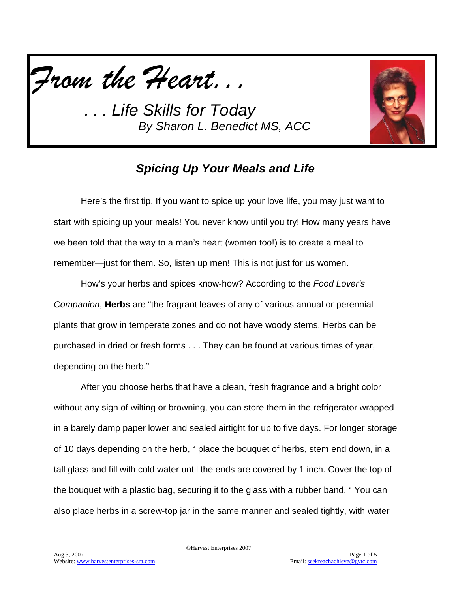



## *Spicing Up Your Meals and Life*

Here's the first tip. If you want to spice up your love life, you may just want to start with spicing up your meals! You never know until you try! How many years have we been told that the way to a man's heart (women too!) is to create a meal to remember—just for them. So, listen up men! This is not just for us women.

How's your herbs and spices know-how? According to the *Food Lover's Companion*, **Herbs** are "the fragrant leaves of any of various annual or perennial plants that grow in temperate zones and do not have woody stems. Herbs can be purchased in dried or fresh forms . . . They can be found at various times of year, depending on the herb."

After you choose herbs that have a clean, fresh fragrance and a bright color without any sign of wilting or browning, you can store them in the refrigerator wrapped in a barely damp paper lower and sealed airtight for up to five days. For longer storage of 10 days depending on the herb, " place the bouquet of herbs, stem end down, in a tall glass and fill with cold water until the ends are covered by 1 inch. Cover the top of the bouquet with a plastic bag, securing it to the glass with a rubber band. " You can also place herbs in a screw-top jar in the same manner and sealed tightly, with water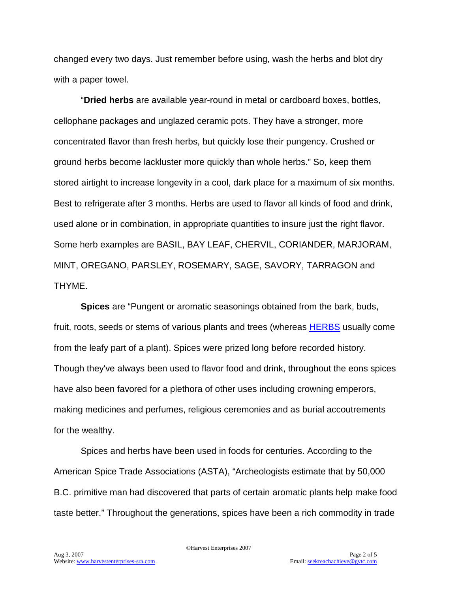changed every two days. Just remember before using, wash the herbs and blot dry with a paper towel.

"**Dried herbs** are available year-round in metal or cardboard boxes, bottles, cellophane packages and unglazed ceramic pots. They have a stronger, more concentrated flavor than fresh herbs, but quickly lose their pungency. Crushed or ground herbs become lackluster more quickly than whole herbs." So, keep them stored airtight to increase longevity in a cool, dark place for a maximum of six months. Best to refrigerate after 3 months. Herbs are used to flavor all kinds of food and drink, used alone or in combination, in appropriate quantities to insure just the right flavor. Some herb examples are BASIL, BAY LEAF, CHERVIL, CORIANDER, MARJORAM, MINT, OREGANO, PARSLEY, ROSEMARY, SAGE, SAVORY, TARRAGON and THYME.

**Spices** are "Pungent or aromatic seasonings obtained from the bark, buds, fruit, roots, seeds or stems of various plants and trees (whereas [HERBS](http://www.epicurious.com/cooking/how_to/food_dictionary/entry?id=2934) usually come from the leafy part of a plant). Spices were prized long before recorded history. Though they've always been used to flavor food and drink, throughout the eons spices have also been favored for a plethora of other uses including crowning emperors, making medicines and perfumes, religious ceremonies and as burial accoutrements for the wealthy.

Spices and herbs have been used in foods for centuries. According to the American Spice Trade Associations (ASTA), "Archeologists estimate that by 50,000 B.C. primitive man had discovered that parts of certain aromatic plants help make food taste better." Throughout the generations, spices have been a rich commodity in trade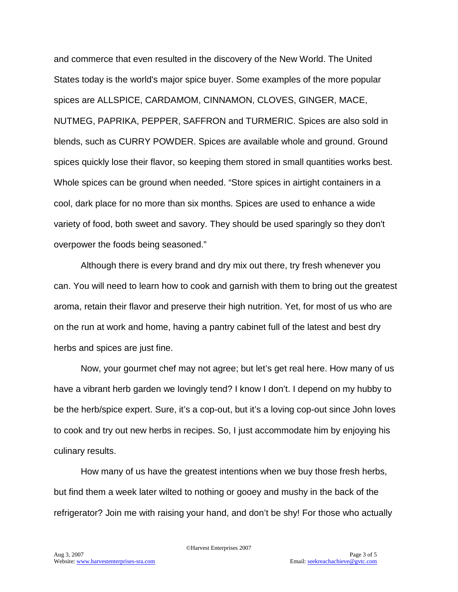and commerce that even resulted in the discovery of the New World. The United States today is the world's major spice buyer. Some examples of the more popular spices are ALLSPICE, CARDAMOM, CINNAMON, CLOVES, GINGER, MACE, NUTMEG, PAPRIKA, PEPPER, SAFFRON and TURMERIC. Spices are also sold in blends, such as CURRY POWDER. Spices are available whole and ground. Ground spices quickly lose their flavor, so keeping them stored in small quantities works best. Whole spices can be ground when needed. "Store spices in airtight containers in a cool, dark place for no more than six months. Spices are used to enhance a wide variety of food, both sweet and savory. They should be used sparingly so they don't overpower the foods being seasoned."

Although there is every brand and dry mix out there, try fresh whenever you can. You will need to learn how to cook and garnish with them to bring out the greatest aroma, retain their flavor and preserve their high nutrition. Yet, for most of us who are on the run at work and home, having a pantry cabinet full of the latest and best dry herbs and spices are just fine.

Now, your gourmet chef may not agree; but let's get real here. How many of us have a vibrant herb garden we lovingly tend? I know I don't. I depend on my hubby to be the herb/spice expert. Sure, it's a cop-out, but it's a loving cop-out since John loves to cook and try out new herbs in recipes. So, I just accommodate him by enjoying his culinary results.

How many of us have the greatest intentions when we buy those fresh herbs, but find them a week later wilted to nothing or gooey and mushy in the back of the refrigerator? Join me with raising your hand, and don't be shy! For those who actually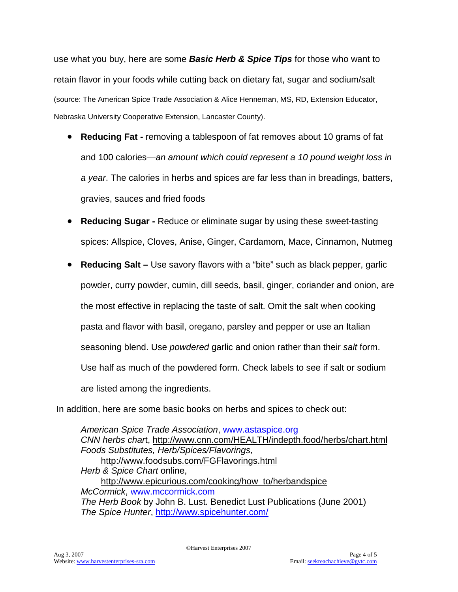use what you buy, here are some *Basic Herb & Spice Tips* for those who want to retain flavor in your foods while cutting back on dietary fat, sugar and sodium/salt (source: The American Spice Trade Association & Alice Henneman, MS, RD, Extension Educator, Nebraska University Cooperative Extension, Lancaster County).

- **Reducing Fat -** removing a tablespoon of fat removes about 10 grams of fat and 100 calories—*an amount which could represent a 10 pound weight loss in a year*. The calories in herbs and spices are far less than in breadings, batters, gravies, sauces and fried foods
- **Reducing Sugar -** Reduce or eliminate sugar by using these sweet-tasting spices: Allspice, Cloves, Anise, Ginger, Cardamom, Mace, Cinnamon, Nutmeg
- **Reducing Salt –** Use savory flavors with a "bite" such as black pepper, garlic powder, curry powder, cumin, dill seeds, basil, ginger, coriander and onion, are the most effective in replacing the taste of salt. Omit the salt when cooking pasta and flavor with basil, oregano, parsley and pepper or use an Italian seasoning blend. Use *powdered* garlic and onion rather than their *salt* form. Use half as much of the powdered form. Check labels to see if salt or sodium are listed among the ingredients.

In addition, here are some basic books on herbs and spices to check out:

*American Spice Trade Association*, [www.astaspice.org](http://www.astaspice.org/) *CNN herbs char*t,<http://www.cnn.com/HEALTH/indepth.food/herbs/chart.html> *Foods Substitutes, Herb/Spices/Flavorings*, <http://www.foodsubs.com/FGFlavorings.html> *Herb & Spice Chart* online, [http://www.epicurious.com/cooking/how\\_to/herbandspice](http://www.epicurious.com/cooking/how_to/herbandspice) *McCormick*, [www.mccormick.com](http://www.mccormick.com/) *The Herb Book* by John B. Lust. Benedict Lust Publications (June 2001) *The Spice Hunter*,<http://www.spicehunter.com/>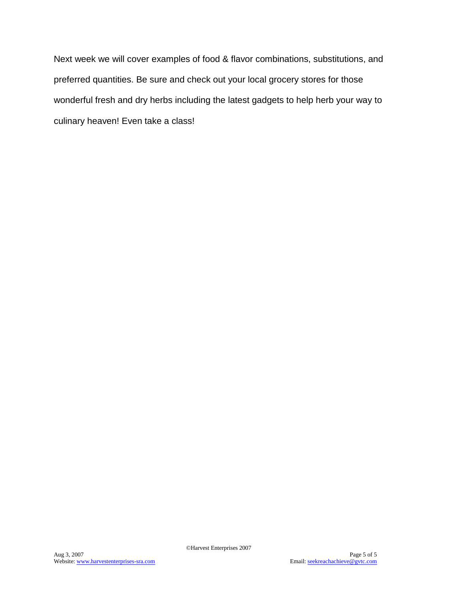Next week we will cover examples of food & flavor combinations, substitutions, and preferred quantities. Be sure and check out your local grocery stores for those wonderful fresh and dry herbs including the latest gadgets to help herb your way to culinary heaven! Even take a class!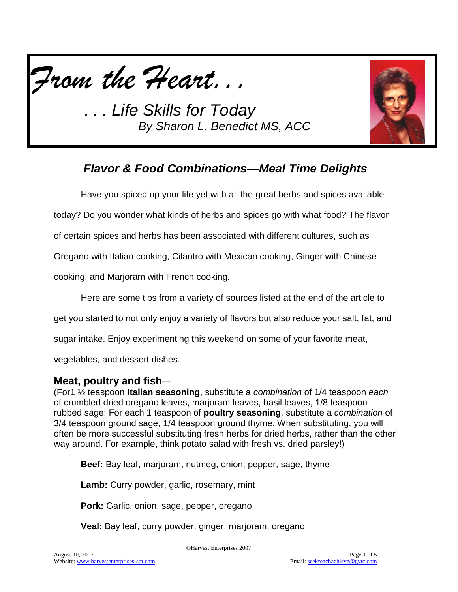



# *Flavor & Food Combinations—Meal Time Delights*

Have you spiced up your life yet with all the great herbs and spices available

today? Do you wonder what kinds of herbs and spices go with what food? The flavor

of certain spices and herbs has been associated with different cultures, such as

Oregano with Italian cooking, Cilantro with Mexican cooking, Ginger with Chinese

cooking, and Marjoram with French cooking.

Here are some tips from a variety of sources listed at the end of the article to

get you started to not only enjoy a variety of flavors but also reduce your salt, fat, and

sugar intake. Enjoy experimenting this weekend on some of your favorite meat,

vegetables, and dessert dishes.

#### **Meat, poultry and fish—**

(For1 ½ teaspoon **Italian seasoning**, substitute a *combination* of 1/4 teaspoon *each*  of crumbled dried oregano leaves, marjoram leaves, basil leaves, 1/8 teaspoon rubbed sage; For each 1 teaspoon of **poultry seasoning**, substitute a *combination* of 3/4 teaspoon ground sage, 1/4 teaspoon ground thyme. When substituting, you will often be more successful substituting fresh herbs for dried herbs, rather than the other way around. For example, think potato salad with fresh vs. dried parsley!)

**Beef:** Bay leaf, marjoram, nutmeg, onion, pepper, sage, thyme

**Lamb:** Curry powder, garlic, rosemary, mint

**Pork:** Garlic, onion, sage, pepper, oregano

**Veal:** Bay leaf, curry powder, ginger, marjoram, oregano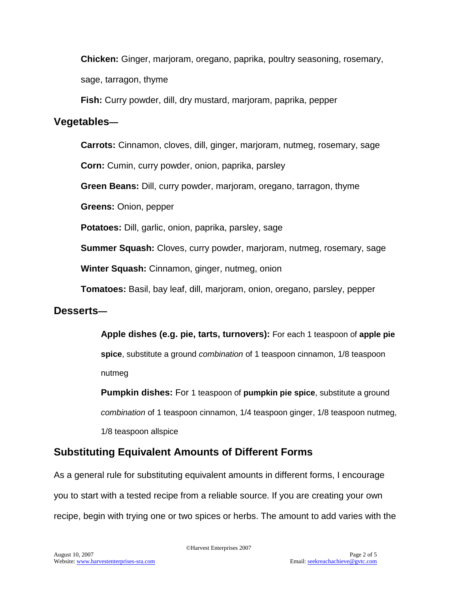**Chicken:** Ginger, marjoram, oregano, paprika, poultry seasoning, rosemary, sage, tarragon, thyme

**Fish:** Curry powder, dill, dry mustard, marjoram, paprika, pepper

#### **Vegetables—**

**Carrots:** Cinnamon, cloves, dill, ginger, marjoram, nutmeg, rosemary, sage

**Corn:** Cumin, curry powder, onion, paprika, parsley

**Green Beans:** Dill, curry powder, marjoram, oregano, tarragon, thyme

**Greens:** Onion, pepper

**Potatoes:** Dill, garlic, onion, paprika, parsley, sage

**Summer Squash:** Cloves, curry powder, marjoram, nutmeg, rosemary, sage

**Winter Squash:** Cinnamon, ginger, nutmeg, onion

**Tomatoes:** Basil, bay leaf, dill, marjoram, onion, oregano, parsley, pepper

## **Desserts—**

**Apple dishes (e.g. pie, tarts, turnovers):** For each 1 teaspoon of **apple pie spice**, substitute a ground *combination* of 1 teaspoon cinnamon, 1/8 teaspoon nutmeg

**Pumpkin dishes:** For 1 teaspoon of **pumpkin pie spice**, substitute a ground *combination* of 1 teaspoon cinnamon, 1/4 teaspoon ginger, 1/8 teaspoon nutmeg, 1/8 teaspoon allspice

## **Substituting Equivalent Amounts of Different Forms**

As a general rule for substituting equivalent amounts in different forms, I encourage you to start with a tested recipe from a reliable source. If you are creating your own recipe, begin with trying one or two spices or herbs. The amount to add varies with the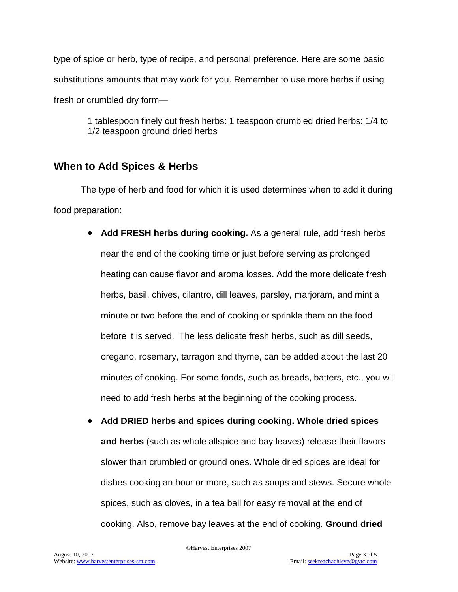type of spice or herb, type of recipe, and personal preference. Here are some basic substitutions amounts that may work for you. Remember to use more herbs if using fresh or crumbled dry form—

> 1 tablespoon finely cut fresh herbs: 1 teaspoon crumbled dried herbs: 1/4 to 1/2 teaspoon ground dried herbs

## **When to Add Spices & Herbs**

The type of herb and food for which it is used determines when to add it during food preparation:

- **Add FRESH herbs during cooking.** As a general rule, add fresh herbs near the end of the cooking time or just before serving as prolonged heating can cause flavor and aroma losses. Add the more delicate fresh herbs, basil, chives, cilantro, dill leaves, parsley, marjoram, and mint a minute or two before the end of cooking or sprinkle them on the food before it is served. The less delicate fresh herbs, such as dill seeds, oregano, rosemary, tarragon and thyme, can be added about the last 20 minutes of cooking. For some foods, such as breads, batters, etc., you will need to add fresh herbs at the beginning of the cooking process.
- **Add DRIED herbs and spices during cooking. Whole dried spices and herbs** (such as whole allspice and bay leaves) release their flavors slower than crumbled or ground ones. Whole dried spices are ideal for dishes cooking an hour or more, such as soups and stews. Secure whole spices, such as cloves, in a tea ball for easy removal at the end of cooking. Also, remove bay leaves at the end of cooking. **Ground dried**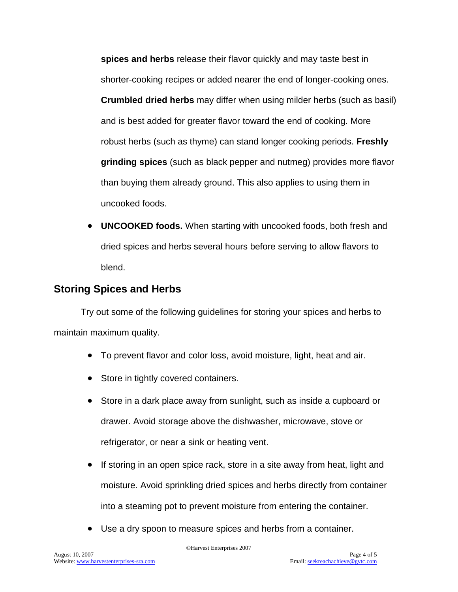**spices and herbs** release their flavor quickly and may taste best in shorter-cooking recipes or added nearer the end of longer-cooking ones. **Crumbled dried herbs** may differ when using milder herbs (such as basil) and is best added for greater flavor toward the end of cooking. More robust herbs (such as thyme) can stand longer cooking periods. **Freshly grinding spices** (such as black pepper and nutmeg) provides more flavor than buying them already ground. This also applies to using them in uncooked foods.

• **UNCOOKED foods.** When starting with uncooked foods, both fresh and dried spices and herbs several hours before serving to allow flavors to blend.

## **Storing Spices and Herbs**

Try out some of the following guidelines for storing your spices and herbs to maintain maximum quality.

- To prevent flavor and color loss, avoid moisture, light, heat and air.
- Store in tightly covered containers.
- Store in a dark place away from sunlight, such as inside a cupboard or drawer. Avoid storage above the dishwasher, microwave, stove or refrigerator, or near a sink or heating vent.
- If storing in an open spice rack, store in a site away from heat, light and moisture. Avoid sprinkling dried spices and herbs directly from container into a steaming pot to prevent moisture from entering the container.
- Use a dry spoon to measure spices and herbs from a container.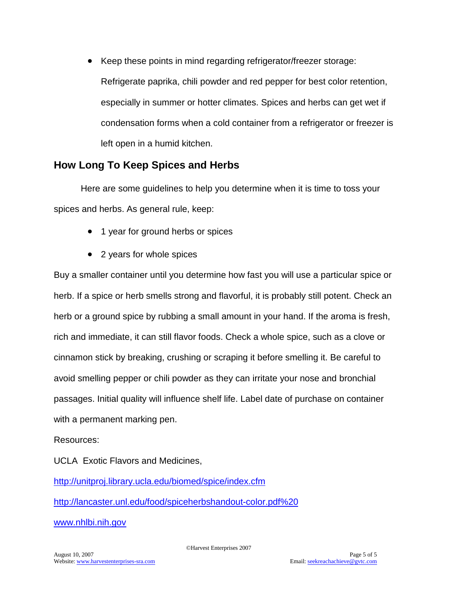• Keep these points in mind regarding refrigerator/freezer storage: Refrigerate paprika, chili powder and red pepper for best color retention, especially in summer or hotter climates. Spices and herbs can get wet if condensation forms when a cold container from a refrigerator or freezer is left open in a humid kitchen.

#### **How Long To Keep Spices and Herbs**

Here are some guidelines to help you determine when it is time to toss your spices and herbs. As general rule, keep:

- 1 year for ground herbs or spices
- 2 years for whole spices

Buy a smaller container until you determine how fast you will use a particular spice or herb. If a spice or herb smells strong and flavorful, it is probably still potent. Check an herb or a ground spice by rubbing a small amount in your hand. If the aroma is fresh, rich and immediate, it can still flavor foods. Check a whole spice, such as a clove or cinnamon stick by breaking, crushing or scraping it before smelling it. Be careful to avoid smelling pepper or chili powder as they can irritate your nose and bronchial passages. Initial quality will influence shelf life. Label date of purchase on container with a permanent marking pen.

Resources:

UCLA Exotic Flavors and Medicines,

<http://unitproj.library.ucla.edu/biomed/spice/index.cfm>

[http://lancaster.unl.edu/food/spiceherbshandout-color.pdf%20](http://lancaster.unl.edu/food/spiceherbshandout-color.pdf)

[www.nhlbi.nih.gov](http://www.nhlbi.nih.gov/)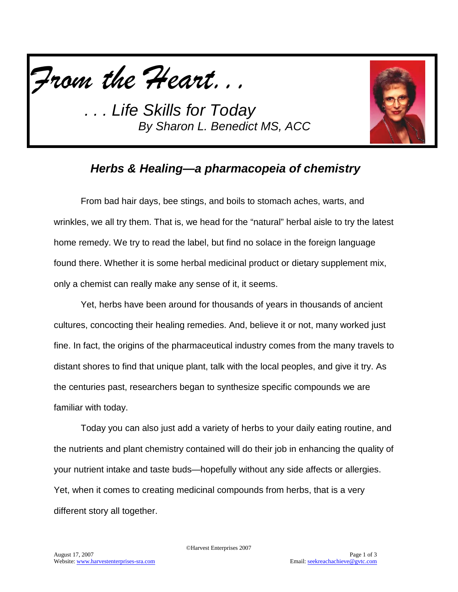



## *Herbs & Healing—a pharmacopeia of chemistry*

From bad hair days, bee stings, and boils to stomach aches, warts, and wrinkles, we all try them. That is, we head for the "natural" herbal aisle to try the latest home remedy. We try to read the label, but find no solace in the foreign language found there. Whether it is some herbal medicinal product or dietary supplement mix, only a chemist can really make any sense of it, it seems.

Yet, herbs have been around for thousands of years in thousands of ancient cultures, concocting their healing remedies. And, believe it or not, many worked just fine. In fact, the origins of the pharmaceutical industry comes from the many travels to distant shores to find that unique plant, talk with the local peoples, and give it try. As the centuries past, researchers began to synthesize specific compounds we are familiar with today.

Today you can also just add a variety of herbs to your daily eating routine, and the nutrients and plant chemistry contained will do their job in enhancing the quality of your nutrient intake and taste buds—hopefully without any side affects or allergies. Yet, when it comes to creating medicinal compounds from herbs, that is a very different story all together.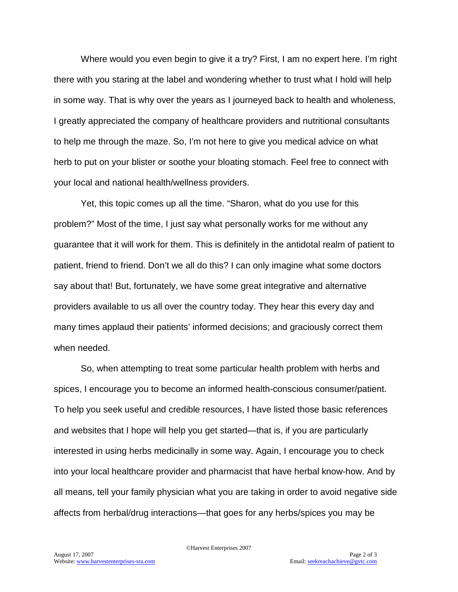Where would you even begin to give it a try? First, I am no expert here. I'm right there with you staring at the label and wondering whether to trust what I hold will help in some way. That is why over the years as I journeyed back to health and wholeness, I greatly appreciated the company of healthcare providers and nutritional consultants to help me through the maze. So, I'm not here to give you medical advice on what herb to put on your blister or soothe your bloating stomach. Feel free to connect with your local and national health/wellness providers.

Yet, this topic comes up all the time. "Sharon, what do you use for this problem?" Most of the time, I just say what personally works for me without any guarantee that it will work for them. This is definitely in the antidotal realm of patient to patient, friend to friend. Don't we all do this? I can only imagine what some doctors say about that! But, fortunately, we have some great integrative and alternative providers available to us all over the country today. They hear this every day and many times applaud their patients' informed decisions; and graciously correct them when needed.

So, when attempting to treat some particular health problem with herbs and spices, I encourage you to become an informed health-conscious consumer/patient. To help you seek useful and credible resources, I have listed those basic references and websites that I hope will help you get started—that is, if you are particularly interested in using herbs medicinally in some way. Again, I encourage you to check into your local healthcare provider and pharmacist that have herbal know-how. And by all means, tell your family physician what you are taking in order to avoid negative side affects from herbal/drug interactions—that goes for any herbs/spices you may be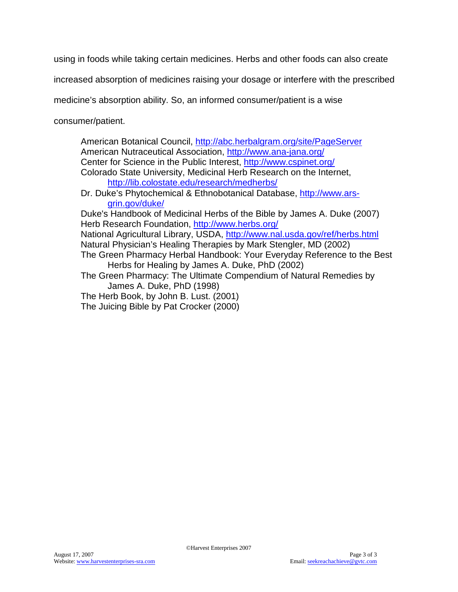using in foods while taking certain medicines. Herbs and other foods can also create

increased absorption of medicines raising your dosage or interfere with the prescribed

medicine's absorption ability. So, an informed consumer/patient is a wise

consumer/patient.

American Botanical Council,<http://abc.herbalgram.org/site/PageServer> American Nutraceutical Association,<http://www.ana-jana.org/> Center for Science in the Public Interest,<http://www.cspinet.org/> Colorado State University, Medicinal Herb Research on the Internet, <http://lib.colostate.edu/research/medherbs/> Dr. Duke's Phytochemical & Ethnobotanical Database, [http://www.ars](http://www.ars-grin.gov/duke/)[grin.gov/duke/](http://www.ars-grin.gov/duke/) Duke's Handbook of Medicinal Herbs of the Bible by James A. Duke (2007) Herb Research Foundation,<http://www.herbs.org/> National Agricultural Library, USDA,<http://www.nal.usda.gov/ref/herbs.html> Natural Physician's Healing Therapies by Mark Stengler, MD (2002) The Green Pharmacy Herbal Handbook: Your Everyday Reference to the Best Herbs for Healing by James A. Duke, PhD (2002) The Green Pharmacy: The Ultimate Compendium of Natural Remedies by James A. Duke, PhD (1998) The Herb Book, by John B. Lust. (2001) The Juicing Bible by Pat Crocker (2000)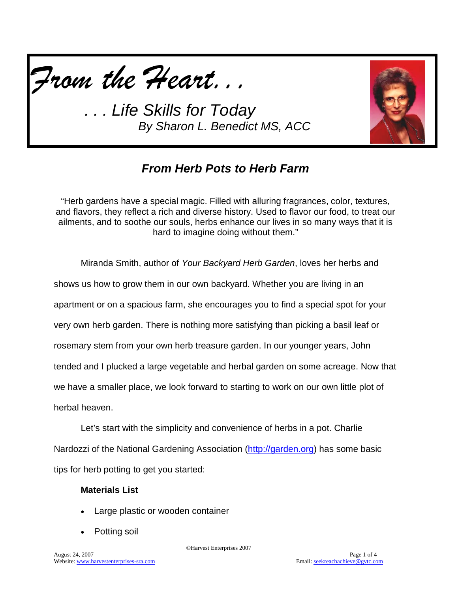



## *From Herb Pots to Herb Farm*

"Herb gardens have a special magic. Filled with alluring fragrances, color, textures, and flavors, they reflect a rich and diverse history. Used to flavor our food, to treat our ailments, and to soothe our souls, herbs enhance our lives in so many ways that it is hard to imagine doing without them."

Miranda Smith, author of *Your Backyard Herb Garden*, loves her herbs and shows us how to grow them in our own backyard. Whether you are living in an apartment or on a spacious farm, she encourages you to find a special spot for your very own herb garden. There is nothing more satisfying than picking a basil leaf or rosemary stem from your own herb treasure garden. In our younger years, John tended and I plucked a large vegetable and herbal garden on some acreage. Now that we have a smaller place, we look forward to starting to work on our own little plot of herbal heaven.

Let's start with the simplicity and convenience of herbs in a pot. Charlie Nardozzi of the National Gardening Association [\(http://garden.org\)](http://garden.org/) has some basic tips for herb potting to get you started:

#### **Materials List**

- Large plastic or wooden container
- Potting soil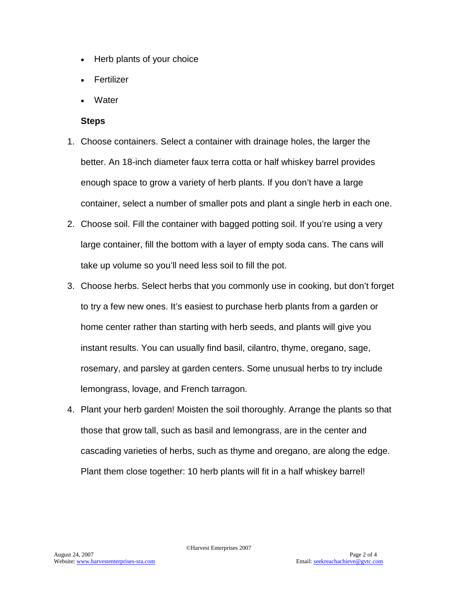- Herb plants of your choice
- **Fertilizer**
- **Water**

#### **Steps**

- 1. Choose containers. Select a container with drainage holes, the larger the better. An 18-inch diameter faux terra cotta or half whiskey barrel provides enough space to grow a variety of herb plants. If you don't have a large container, select a number of smaller pots and plant a single herb in each one.
- 2. Choose soil. Fill the container with bagged potting soil. If you're using a very large container, fill the bottom with a layer of empty soda cans. The cans will take up volume so you'll need less soil to fill the pot.
- 3. Choose herbs. Select herbs that you commonly use in cooking, but don't forget to try a few new ones. It's easiest to purchase herb plants from a garden or home center rather than starting with herb seeds, and plants will give you instant results. You can usually find basil, cilantro, thyme, oregano, sage, rosemary, and parsley at garden centers. Some unusual herbs to try include lemongrass, lovage, and French tarragon.
- 4. Plant your herb garden! Moisten the soil thoroughly. Arrange the plants so that those that grow tall, such as basil and lemongrass, are in the center and cascading varieties of herbs, such as thyme and oregano, are along the edge. Plant them close together: 10 herb plants will fit in a half whiskey barrel!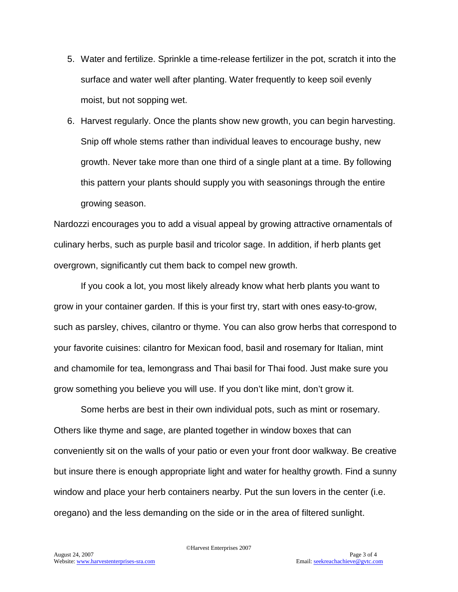- 5. Water and fertilize. Sprinkle a time-release fertilizer in the pot, scratch it into the surface and water well after planting. Water frequently to keep soil evenly moist, but not sopping wet.
- 6. Harvest regularly. Once the plants show new growth, you can begin harvesting. Snip off whole stems rather than individual leaves to encourage bushy, new growth. Never take more than one third of a single plant at a time. By following this pattern your plants should supply you with seasonings through the entire growing season.

Nardozzi encourages you to add a visual appeal by growing attractive ornamentals of culinary herbs, such as purple basil and tricolor sage. In addition, if herb plants get overgrown, significantly cut them back to compel new growth.

If you cook a lot, you most likely already know what herb plants you want to grow in your container garden. If this is your first try, start with ones easy-to-grow, such as parsley, chives, cilantro or thyme. You can also grow herbs that correspond to your favorite cuisines: cilantro for Mexican food, basil and rosemary for Italian, mint and chamomile for tea, lemongrass and Thai basil for Thai food. Just make sure you grow something you believe you will use. If you don't like mint, don't grow it.

Some herbs are best in their own individual pots, such as mint or rosemary. Others like thyme and sage, are planted together in window boxes that can conveniently sit on the walls of your patio or even your front door walkway. Be creative but insure there is enough appropriate light and water for healthy growth. Find a sunny window and place your herb containers nearby. Put the sun lovers in the center (i.e. oregano) and the less demanding on the side or in the area of filtered sunlight.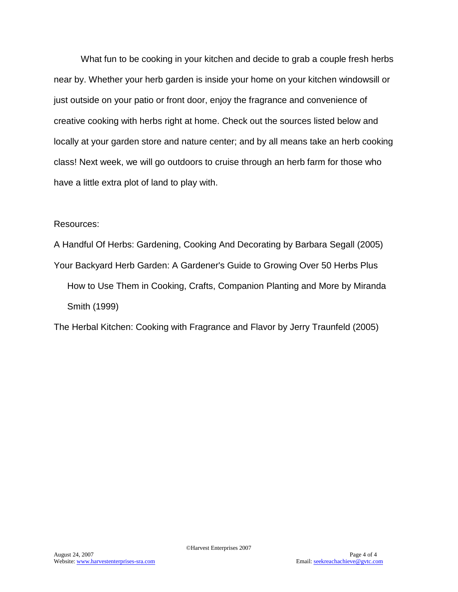What fun to be cooking in your kitchen and decide to grab a couple fresh herbs near by. Whether your herb garden is inside your home on your kitchen windowsill or just outside on your patio or front door, enjoy the fragrance and convenience of creative cooking with herbs right at home. Check out the sources listed below and locally at your garden store and nature center; and by all means take an herb cooking class! Next week, we will go outdoors to cruise through an herb farm for those who have a little extra plot of land to play with.

#### Resources:

A Handful Of Herbs: Gardening, Cooking And Decorating by Barbara Segall (2005) Your Backyard Herb Garden: A Gardener's Guide to Growing Over 50 Herbs Plus How to Use Them in Cooking, Crafts, Companion Planting and More by Miranda Smith (1999)

The Herbal Kitchen: Cooking with Fragrance and Flavor by Jerry Traunfeld (2005)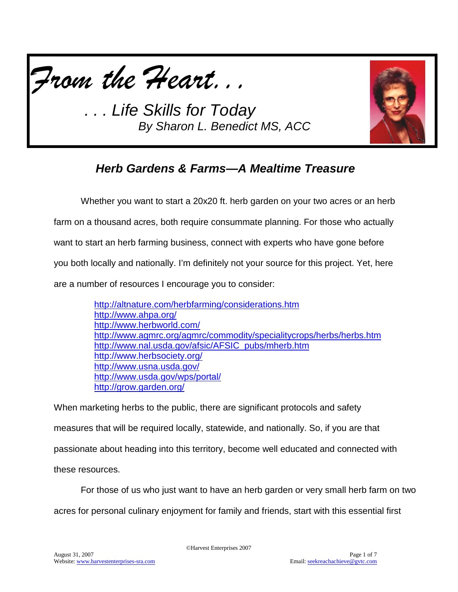



# *Herb Gardens & Farms—A Mealtime Treasure*

Whether you want to start a 20x20 ft. herb garden on your two acres or an herb farm on a thousand acres, both require consummate planning. For those who actually want to start an herb farming business, connect with experts who have gone before you both locally and nationally. I'm definitely not your source for this project. Yet, here are a number of resources I encourage you to consider:

| http://altnature.com/herbfarming/considerations.htm                  |
|----------------------------------------------------------------------|
| http://www.ahpa.org/                                                 |
| http://www.herbworld.com/                                            |
| http://www.agmrc.org/agmrc/commodity/specialitycrops/herbs/herbs.htm |
| http://www.nal.usda.gov/afsic/AFSIC pubs/mherb.htm                   |
| http://www.herbsociety.org/                                          |
| http://www.usna.usda.gov/                                            |
| http://www.usda.gov/wps/portal/                                      |
| http://grow.garden.org/                                              |

When marketing herbs to the public, there are significant protocols and safety measures that will be required locally, statewide, and nationally. So, if you are that passionate about heading into this territory, become well educated and connected with these resources.

For those of us who just want to have an herb garden or very small herb farm on two

acres for personal culinary enjoyment for family and friends, start with this essential first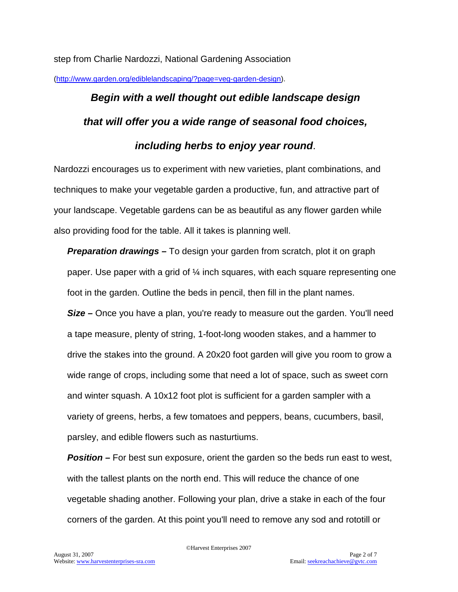step from Charlie Nardozzi, National Gardening Association

[\(http://www.garden.org/ediblelandscaping/?page=veg-garden-design\)](http://www.garden.org/ediblelandscaping/?page=veg-garden-design).

# *Begin with a well thought out edible landscape design that will offer you a wide range of seasonal food choices, including herbs to enjoy year round*.

Nardozzi encourages us to experiment with new varieties, plant combinations, and techniques to make your vegetable garden a productive, fun, and attractive part of your landscape. Vegetable gardens can be as beautiful as any flower garden while also providing food for the table. All it takes is planning well.

*Preparation drawings –* To design your garden from scratch, plot it on graph paper. Use paper with a grid of  $\mathcal{U}$  inch squares, with each square representing one foot in the garden. Outline the beds in pencil, then fill in the plant names. **Size** – Once you have a plan, you're ready to measure out the garden. You'll need a tape measure, plenty of string, 1-foot-long wooden stakes, and a hammer to drive the stakes into the ground. A 20x20 foot garden will give you room to grow a wide range of crops, including some that need a lot of space, such as sweet corn and winter squash. A 10x12 foot plot is sufficient for a garden sampler with a variety of greens, herbs, a few tomatoes and peppers, beans, cucumbers, basil, parsley, and edible flowers such as nasturtiums.

*Position –* For best sun exposure, orient the garden so the beds run east to west, with the tallest plants on the north end. This will reduce the chance of one vegetable shading another. Following your plan, drive a stake in each of the four corners of the garden. At this point you'll need to remove any sod and rototill or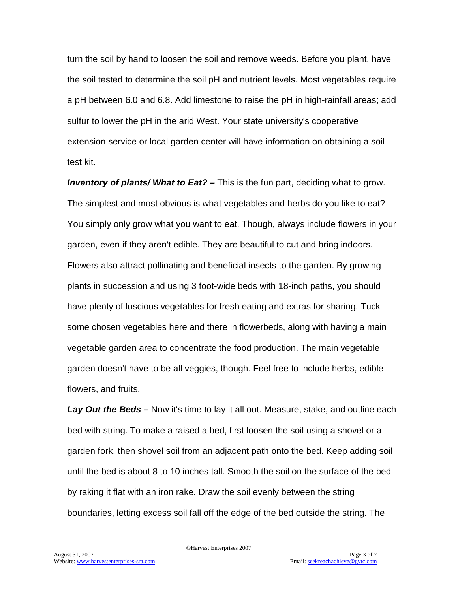turn the soil by hand to loosen the soil and remove weeds. Before you plant, have the soil tested to determine the soil pH and nutrient levels. Most vegetables require a pH between 6.0 and 6.8. Add limestone to raise the pH in high-rainfall areas; add sulfur to lower the pH in the arid West. Your state university's cooperative extension service or local garden center will have information on obtaining a soil test kit.

*Inventory of plants/ What to Eat? –* This is the fun part, deciding what to grow. The simplest and most obvious is what vegetables and herbs do you like to eat? You simply only grow what you want to eat. Though, always include flowers in your garden, even if they aren't edible. They are beautiful to cut and bring indoors. Flowers also attract pollinating and beneficial insects to the garden. By growing plants in succession and using 3 foot-wide beds with 18-inch paths, you should have plenty of luscious vegetables for fresh eating and extras for sharing. Tuck some chosen vegetables here and there in flowerbeds, along with having a main vegetable garden area to concentrate the food production. The main vegetable garden doesn't have to be all veggies, though. Feel free to include herbs, edible flowers, and fruits.

*Lay Out the Beds –* Now it's time to lay it all out. Measure, stake, and outline each bed with string. To make a raised a bed, first loosen the soil using a shovel or a garden fork, then shovel soil from an adjacent path onto the bed. Keep adding soil until the bed is about 8 to 10 inches tall. Smooth the soil on the surface of the bed by raking it flat with an iron rake. Draw the soil evenly between the string boundaries, letting excess soil fall off the edge of the bed outside the string. The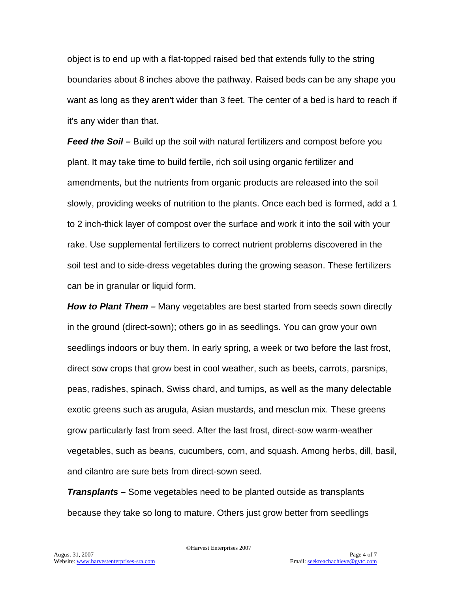object is to end up with a flat-topped raised bed that extends fully to the string boundaries about 8 inches above the pathway. Raised beds can be any shape you want as long as they aren't wider than 3 feet. The center of a bed is hard to reach if it's any wider than that.

*Feed the Soil –* Build up the soil with natural fertilizers and compost before you plant. It may take time to build fertile, rich soil using organic fertilizer and amendments, but the nutrients from organic products are released into the soil slowly, providing weeks of nutrition to the plants. Once each bed is formed, add a 1 to 2 inch-thick layer of compost over the surface and work it into the soil with your rake. Use supplemental fertilizers to correct nutrient problems discovered in the soil test and to side-dress vegetables during the growing season. These fertilizers can be in granular or liquid form.

*How to Plant Them –* Many vegetables are best started from seeds sown directly in the ground (direct-sown); others go in as seedlings. You can grow your own seedlings indoors or buy them. In early spring, a week or two before the last frost, direct sow crops that grow best in cool weather, such as beets, carrots, parsnips, peas, radishes, spinach, Swiss chard, and turnips, as well as the many delectable exotic greens such as arugula, Asian mustards, and mesclun mix. These greens grow particularly fast from seed. After the last frost, direct-sow warm-weather vegetables, such as beans, cucumbers, corn, and squash. Among herbs, dill, basil, and cilantro are sure bets from direct-sown seed.

*Transplants –* Some vegetables need to be planted outside as transplants because they take so long to mature. Others just grow better from seedlings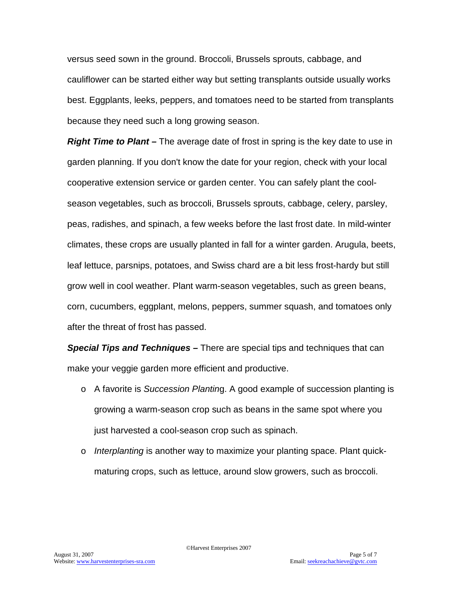versus seed sown in the ground. Broccoli, Brussels sprouts, cabbage, and cauliflower can be started either way but setting transplants outside usually works best. Eggplants, leeks, peppers, and tomatoes need to be started from transplants because they need such a long growing season.

*Right Time to Plant –* The average date of frost in spring is the key date to use in garden planning. If you don't know the date for your region, check with your local cooperative extension service or garden center. You can safely plant the coolseason vegetables, such as broccoli, Brussels sprouts, cabbage, celery, parsley, peas, radishes, and spinach, a few weeks before the last frost date. In mild-winter climates, these crops are usually planted in fall for a winter garden. Arugula, beets, leaf lettuce, parsnips, potatoes, and Swiss chard are a bit less frost-hardy but still grow well in cool weather. Plant warm-season vegetables, such as green beans, corn, cucumbers, eggplant, melons, peppers, summer squash, and tomatoes only after the threat of frost has passed.

*Special Tips and Techniques –* There are special tips and techniques that can make your veggie garden more efficient and productive.

- o A favorite is *Succession Plantin*g. A good example of succession planting is growing a warm-season crop such as beans in the same spot where you just harvested a cool-season crop such as spinach.
- o *Interplanting* is another way to maximize your planting space. Plant quickmaturing crops, such as lettuce, around slow growers, such as broccoli.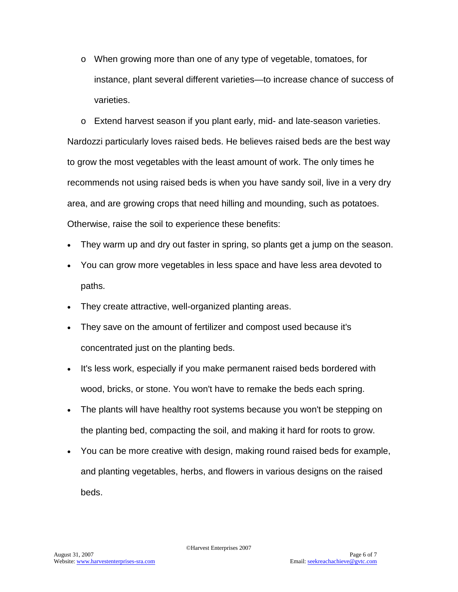o When growing more than one of any type of vegetable, tomatoes, for instance, plant several different varieties—to increase chance of success of varieties.

o Extend harvest season if you plant early, mid- and late-season varieties. Nardozzi particularly loves raised beds. He believes raised beds are the best way to grow the most vegetables with the least amount of work. The only times he recommends not using raised beds is when you have sandy soil, live in a very dry area, and are growing crops that need hilling and mounding, such as potatoes. Otherwise, raise the soil to experience these benefits:

- They warm up and dry out faster in spring, so plants get a jump on the season.
- You can grow more vegetables in less space and have less area devoted to paths.
- They create attractive, well-organized planting areas.
- They save on the amount of fertilizer and compost used because it's concentrated just on the planting beds.
- It's less work, especially if you make permanent raised beds bordered with wood, bricks, or stone. You won't have to remake the beds each spring.
- The plants will have healthy root systems because you won't be stepping on the planting bed, compacting the soil, and making it hard for roots to grow.
- You can be more creative with design, making round raised beds for example, and planting vegetables, herbs, and flowers in various designs on the raised beds.